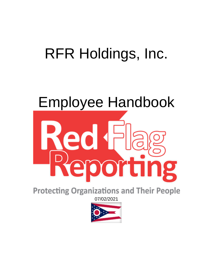# RFR Holdings, Inc.

# Employee Handbook



**Protecting Organizations and Their People** 07/02/2021

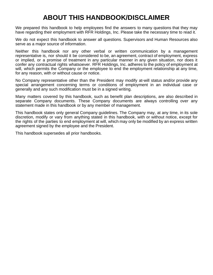# **ABOUT THIS HANDBOOK/DISCLAIMER**

We prepared this handbook to help employees find the answers to many questions that they may have regarding their employment with RFR Holdings, Inc. Please take the necessary time to read it.

We do not expect this handbook to answer all questions. Supervisors and Human Resources also serve as a major source of information.

Neither this handbook nor any other verbal or written communication by a management representative is, nor should it be considered to be, an agreement, contract of employment, express or implied, or a promise of treatment in any particular manner in any given situation, nor does it confer any contractual rights whatsoever. RFR Holdings, Inc. adheres to the policy of employment at will, which permits the Company or the employee to end the employment relationship at any time, for any reason, with or without cause or notice.

No Company representative other than the President may modify at-will status and/or provide any special arrangement concerning terms or conditions of employment in an individual case or generally and any such modification must be in a signed writing.

Many matters covered by this handbook, such as benefit plan descriptions, are also described in separate Company documents. These Company documents are always controlling over any statement made in this handbook or by any member of management.

This handbook states only general Company guidelines. The Company may, at any time, in its sole discretion, modify or vary from anything stated in this handbook, with or without notice, except for the rights of the parties to end employment at will, which may only be modified by an express written agreement signed by the employee and the President.

This handbook supersedes all prior handbooks.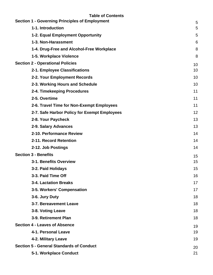| <b>Table of Contents</b> |  |  |  |
|--------------------------|--|--|--|
|                          |  |  |  |

| <b>Section 1 - Governing Principles of Employment</b> | 5  |  |
|-------------------------------------------------------|----|--|
| 1-1. Introduction                                     | 5  |  |
| 1-2. Equal Employment Opportunity                     | 5  |  |
| 1-3. Non-Harassment                                   | 6  |  |
| 1-4. Drug-Free and Alcohol-Free Workplace             | 8  |  |
| 1-5. Workplace Violence                               | 8  |  |
| <b>Section 2 - Operational Policies</b>               |    |  |
| 2-1. Employee Classifications                         | 10 |  |
| 2-2. Your Employment Records                          | 10 |  |
| 2-3. Working Hours and Schedule                       | 10 |  |
| 2-4. Timekeeping Procedures                           | 11 |  |
| 2-5. Overtime                                         | 11 |  |
| 2-6. Travel Time for Non-Exempt Employees             | 11 |  |
| 2-7. Safe Harbor Policy for Exempt Employees          | 12 |  |
| 2-8. Your Paycheck                                    | 13 |  |
| 2-9. Salary Advances                                  | 13 |  |
| 2-10. Performance Review                              | 14 |  |
| 2-11. Record Retention                                | 14 |  |
| 2-12. Job Postings                                    | 14 |  |
| <b>Section 3 - Benefits</b>                           | 15 |  |
| 3-1. Benefits Overview                                | 15 |  |
| 3-2. Paid Holidays                                    | 15 |  |
| 3-3. Paid Time Off                                    | 16 |  |
| 3-4. Lactation Breaks                                 | 17 |  |
| 3-5. Workers' Compensation                            | 17 |  |
| 3-6. Jury Duty                                        | 18 |  |
| 3-7. Bereavement Leave                                | 18 |  |
| 3-8. Voting Leave                                     | 18 |  |
| 3-9. Retirement Plan                                  | 18 |  |
| <b>Section 4 - Leaves of Absence</b>                  | 19 |  |
| 4-1. Personal Leave                                   | 19 |  |
| 4-2. Military Leave                                   | 19 |  |
| <b>Section 5 - General Standards of Conduct</b>       | 20 |  |
| 5-1. Workplace Conduct                                | 21 |  |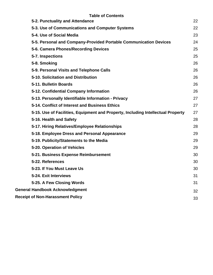| <b>Table of Contents</b>                                                         |    |
|----------------------------------------------------------------------------------|----|
| 5-2. Punctuality and Attendance                                                  | 22 |
| 5-3. Use of Communications and Computer Systems                                  | 22 |
| 5-4. Use of Social Media                                                         | 23 |
| 5-5. Personal and Company-Provided Portable Communication Devices                | 24 |
| 5-6. Camera Phones/Recording Devices                                             | 25 |
| 5-7. Inspections                                                                 | 25 |
| 5-8. Smoking                                                                     | 26 |
| 5-9. Personal Visits and Telephone Calls                                         | 26 |
| 5-10. Solicitation and Distribution                                              | 26 |
| 5-11. Bulletin Boards                                                            | 26 |
| 5-12. Confidential Company Information                                           | 26 |
| 5-13. Personally Identifiable Information - Privacy                              | 27 |
| 5-14. Conflict of Interest and Business Ethics                                   | 27 |
| 5-15. Use of Facilities, Equipment and Property, Including Intellectual Property | 27 |
| 5-16. Health and Safety                                                          | 28 |
| 5-17. Hiring Relatives/Employee Relationships                                    | 28 |
| 5-18. Employee Dress and Personal Appearance                                     | 29 |
| 5-19. Publicity/Statements to the Media                                          | 29 |
| 5-20. Operation of Vehicles                                                      | 29 |
| 5-21. Business Expense Reimbursement                                             | 30 |
| 5-22. References                                                                 | 30 |
| 5-23. If You Must Leave Us                                                       | 30 |
| 5-24. Exit Interviews                                                            | 31 |
| 5-25. A Few Closing Words                                                        | 31 |
| <b>General Handbook Acknowledgment</b>                                           | 32 |
| <b>Receipt of Non-Harassment Policy</b>                                          | 33 |
|                                                                                  |    |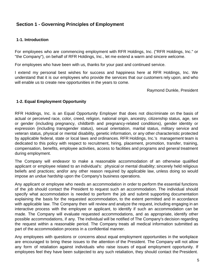# <span id="page-4-0"></span>**Section 1 - Governing Principles of Employment**

#### **1-1. Introduction**

For employees who are commencing employment with RFR Holdings, Inc. ("RFR Holdings, Inc." or "the Company"), on behalf of RFR Holdings, Inc., let me extend a warm and sincere welcome.

For employees who have been with us, thanks for your past and continued service.

I extend my personal best wishes for success and happiness here at RFR Holdings, Inc. We understand that it is our employees who provide the services that our customers rely upon, and who will enable us to create new opportunities in the years to come.

Raymond Dunkle, President

#### **1-2. Equal Employment Opportunity**

RFR Holdings, Inc. is an Equal Opportunity Employer that does not discriminate on the basis of actual or perceived race, color, creed, religion, national origin, ancestry, citizenship status, age, sex or gender (including pregnancy, childbirth and pregnancy-related conditions), gender identity or expression (including transgender status), sexual orientation, marital status, military service and veteran status, physical or mental disability, genetic information, or any other characteristic protected by applicable federal, state or local laws and ordinances. RFR Holdings, Inc.'s management team is dedicated to this policy with respect to recruitment, hiring, placement, promotion, transfer, training, compensation, benefits, employee activities, access to facilities and programs and general treatment during employment.

The Company will endeavor to make a reasonable accommodation of an otherwise qualified applicant or employee related to an individual's: physical or mental disability; sincerely held religious beliefs and practices; and/or any other reason required by applicable law, unless doing so would impose an undue hardship upon the Company's business operations.

Any applicant or employee who needs an accommodation in order to perform the essential functions of the job should contact the President to request such an accommodation. The individual should specify what accommodation is needed to perform the job and submit supporting documentation explaining the basis for the requested accommodation, to the extent permitted and in accordance with applicable law. The Company then will review and analyze the request, including engaging in an interactive process with the employee or applicant, to identify if such an accommodation can be made. The Company will evaluate requested accommodations, and as appropriate, identify other possible accommodations, if any. The individual will be notified of The Company's decision regarding the request within a reasonable period. The Company treats all medical information submitted as part of the accommodation process in a confidential manner.

Any employees with questions or concerns about equal employment opportunities in the workplace are encouraged to bring these issues to the attention of the President. The Company will not allow any form of retaliation against individuals who raise issues of equal employment opportunity. If employees feel they have been subjected to any such retaliation, they should contact the President.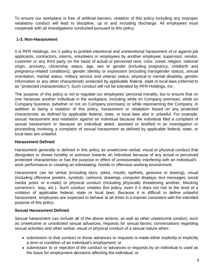<span id="page-5-0"></span>To ensure our workplace is free of artificial barriers, violation of this policy including any improper retaliatory conduct will lead to discipline, up to and including discharge. All employees must cooperate with all investigations conducted pursuant to this policy.

# **1-3. Non-Harassment**

It is RFR Holdings, Inc.'s policy to prohibit intentional and unintentional harassment of or against job applicants, contractors, interns, volunteers or employees by another employee, supervisor, vendor, customer or any third party on the basis of actual or perceived race, color, creed, religion, national origin, ancestry, citizenship status, age, sex or gender (including pregnancy, childbirth and pregnancy-related conditions), gender identity or expression (including transgender status), sexual orientation, marital status, military service and veteran status, physical or mental disability, genetic information or any other characteristic protected by applicable federal, state or local laws (referred to as "protected characteristics"). Such conduct will not be tolerated by RFR Holdings, Inc.

The purpose of this policy is not to regulate our employees' personal morality, but to ensure that no one harasses another individual in the workplace, including while on Company premises, while on Company business (whether or not on Company premises) or while representing the Company. In addition to being a violation of this policy, harassment or retaliation based on any protected characteristic as defined by applicable federal, state, or local laws also is unlawful. For example, sexual harassment and retaliation against an individual because the individual filed a complaint of sexual harassment or because an individual aided, assisted or testified in an investigation or proceeding involving a complaint of sexual harassment as defined by applicable federal, state, or local laws are unlawful.

# **Harassment Defined**

Harassment generally is defined in this policy as unwelcome verbal, visual or physical conduct that denigrates or shows hostility or aversion towards an individual because of any actual or perceived protected characteristic or has the purpose or effect of unreasonably interfering with an individual's work performance or creating an intimidating, hostile or offensive working environment.

Harassment can be verbal (including slurs, jokes, insults, epithets, gestures or teasing), visual (including offensive posters, symbols, cartoons, drawings, computer displays, text messages, social media posts or e-mails) or physical conduct (including physically threatening another, blocking someone's way, etc.). Such conduct violates this policy, even if it does not rise to the level of a violation of applicable federal, state or local laws. Because it is difficult to define unlawful harassment, employees are expected to behave at all times in a manner consistent with the intended purpose of this policy.

# **Sexual Harassment Defined**

Sexual harassment can include all of the above actions, as well as other unwelcome conduct, such as unwelcome or unsolicited sexual advances, requests for sexual favors, conversations regarding sexual activities and other verbal, visual or physical conduct of a sexual nature when:

- submission to that conduct or those advances or requests is made either explicitly or implicitly a term or condition of an individual's employment; or
- submission to or rejection of the conduct or advances or requests by an individual is used as the basis for employment decisions affecting the individual; or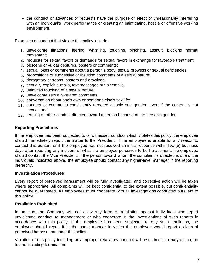• the conduct or advances or requests have the purpose or effect of unreasonably interfering with an individual's work performance or creating an intimidating, hostile or offensive working environment.

Examples of conduct that violate this policy include:

- 1. unwelcome flirtations, leering, whistling, touching, pinching, assault, blocking normal movement;
- 2. requests for sexual favors or demands for sexual favors in exchange for favorable treatment;
- 3. obscene or vulgar gestures, posters or comments;
- 4. sexual jokes or comments about a person's body, sexual prowess or sexual deficiencies;
- 5. propositions or suggestive or insulting comments of a sexual nature;
- 6. derogatory cartoons, posters and drawings;
- 7. sexually-explicit e-mails, text messages or voicemails;
- 8. uninvited touching of a sexual nature;
- 9. unwelcome sexually-related comments;
- 10. conversation about one's own or someone else's sex life;
- 11. conduct or comments consistently targeted at only one gender, even if the content is not sexual; and
- 12. teasing or other conduct directed toward a person because of the person's gender.

# **Reporting Procedures**

If the employee has been subjected to or witnessed conduct which violates this policy, the employee should immediately report the matter to the President. If the employee is unable for any reason to contact this person, or if the employee has not received an initial response within five (5) business days after reporting any incident of what the employee perceives to be harassment, the employee should contact the Vice President. If the person toward whom the complaint is directed is one of the individuals indicated above, the employee should contact any higher-level manager in the reporting hierarchy.

# **Investigation Procedures**

Every report of perceived harassment will be fully investigated, and corrective action will be taken where appropriate. All complaints will be kept confidential to the extent possible, but confidentiality cannot be guaranteed. All employees must cooperate with all investigations conducted pursuant to this policy.

# **Retaliation Prohibited**

In addition, the Company will not allow any form of retaliation against individuals who report unwelcome conduct to management or who cooperate in the investigations of such reports in accordance with this policy. If the employee has been subjected to any such retaliation, the employee should report it in the same manner in which the employee would report a claim of perceived harassment under this policy.

Violation of this policy including any improper retaliatory conduct will result in disciplinary action, up to and including termination.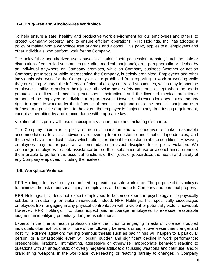# <span id="page-7-0"></span>**1-4. Drug-Free and Alcohol-Free Workplace**

To help ensure a safe, healthy and productive work environment for our employees and others, to protect Company property, and to ensure efficient operations, RFR Holdings, Inc. has adopted a policy of maintaining a workplace free of drugs and alcohol. This policy applies to all employees and other individuals who perform work for the Company.

The unlawful or unauthorized use, abuse, solicitation, theft, possession, transfer, purchase, sale or distribution of controlled substances (including medical marijuana), drug paraphernalia or alcohol by an individual anywhere on Company premises, while on Company business (whether or not on Company premises) or while representing the Company, is strictly prohibited. Employees and other individuals who work for the Company also are prohibited from reporting to work or working while they are using or under the influence of alcohol or any controlled substances, which may impact the employee's ability to perform their job or otherwise pose safety concerns, except when the use is pursuant to a licensed medical practitioner's instructions and the licensed medical practitioner authorized the employee or individual to report to work. However, this exception does not extend any right to report to work under the influence of medical marijuana or to use medical marijuana as a defense to a positive drug test, to the extent the employee is subject to any drug testing requirement, except as permitted by and in accordance with applicable law.

Violation of this policy will result in disciplinary action, up to and including discharge.

The Company maintains a policy of non-discrimination and will endeavor to make reasonable accommodations to assist individuals recovering from substance and alcohol dependencies, and those who have a medical history which reflects treatment for substance abuse conditions. However, employees may not request an accommodation to avoid discipline for a policy violation. We encourage employees to seek assistance before their substance abuse or alcohol misuse renders them unable to perform the essential functions of their jobs, or jeopardizes the health and safety of any Company employee, including themselves.

# **1-5. Workplace Violence**

RFR Holdings, Inc. is strongly committed to providing a safe workplace. The purpose of this policy is to minimize the risk of personal injury to employees and damage to Company and personal property.

RFR Holdings, Inc. does not expect employees to become experts in psychology or to physically subdue a threatening or violent individual. Indeed, RFR Holdings, Inc. specifically discourages employees from engaging in any physical confrontation with a violent or potentially violent individual. However, RFR Holdings, Inc. does expect and encourage employees to exercise reasonable judgment in identifying potentially dangerous situations.

Experts in the mental health profession state that prior to engaging in acts of violence, troubled individuals often exhibit one or more of the following behaviors or signs: over-resentment, anger and hostility; extreme agitation; making ominous threats such as bad things will happen to a particular person, or a catastrophic event will occur; sudden and significant decline in work performance; irresponsible, irrational, intimidating, aggressive or otherwise inappropriate behavior; reacting to questions with an antagonistic or overtly negative attitude; discussing weapons and their use, and/or brandishing weapons in the workplace; overreacting or reacting harshly to changes in Company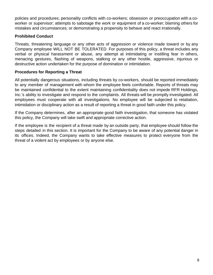policies and procedures; personality conflicts with co-workers; obsession or preoccupation with a coworker or supervisor; attempts to sabotage the work or equipment of a co-worker; blaming others for mistakes and circumstances; or demonstrating a propensity to behave and react irrationally.

# **Prohibited Conduct**

Threats, threatening language or any other acts of aggression or violence made toward or by any Company employee WILL NOT BE TOLERATED. For purposes of this policy, a threat includes any verbal or physical harassment or abuse, any attempt at intimidating or instilling fear in others, menacing gestures, flashing of weapons, stalking or any other hostile, aggressive, injurious or destructive action undertaken for the purpose of domination or intimidation.

# **Procedures for Reporting a Threat**

All potentially dangerous situations, including threats by co-workers, should be reported immediately to any member of management with whom the employee feels comfortable. Reports of threats may be maintained confidential to the extent maintaining confidentiality does not impede RFR Holdings, Inc.'s ability to investigate and respond to the complaints. All threats will be promptly investigated. All employees must cooperate with all investigations. No employee will be subjected to retaliation, intimidation or disciplinary action as a result of reporting a threat in good faith under this policy.

If the Company determines, after an appropriate good faith investigation, that someone has violated this policy, the Company will take swift and appropriate corrective action.

If the employee is the recipient of a threat made by an outside party, that employee should follow the steps detailed in this section. It is important for the Company to be aware of any potential danger in its offices. Indeed, the Company wants to take effective measures to protect everyone from the threat of a violent act by employees or by anyone else.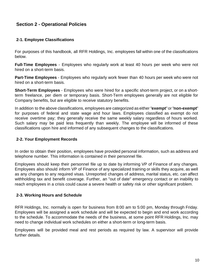# <span id="page-9-0"></span>**Section 2 - Operational Policies**

#### **2-1. Employee Classifications**

For purposes of this handbook, all RFR Holdings, Inc. employees fall within one of the classifications below.

**Full-Time Employees** - Employees who regularly work at least 40 hours per week who were not hired on a short-term basis.

**Part-Time Employees** - Employees who regularly work fewer than 40 hours per week who were not hired on a short-term basis.

**Short-Term Employees** - Employees who were hired for a specific short-term project, or on a shortterm freelance, per diem or temporary basis. Short-Term employees generally are not eligible for Company benefits, but are eligible to receive statutory benefits.

In addition to the above classifications, employees are categorized as either "**exempt**" or "**non-exempt**" for purposes of federal and state wage and hour laws. Employees classified as exempt do not receive overtime pay; they generally receive the same weekly salary regardless of hours worked. Such salary may be paid less frequently than weekly. The employee will be informed of these classifications upon hire and informed of any subsequent changes to the classifications.

#### **2-2. Your Employment Records**

In order to obtain their position, employees have provided personal information, such as address and telephone number. This information is contained in their personnel file.

Employees should keep their personnel file up to date by informing VP of Finance of any changes. Employees also should inform VP of Finance of any specialized training or skills they acquire, as well as any changes to any required visas. Unreported changes of address, marital status, etc. can affect withholding tax and benefit coverage. Further, an "out of date" emergency contact or an inability to reach employees in a crisis could cause a severe health or safety risk or other significant problem.

#### **2-3. Working Hours and Schedule**

RFR Holdings, Inc. normally is open for business from 8:00 am to 5:00 pm, Monday through Friday. Employees will be assigned a work schedule and will be expected to begin and end work according to the schedule. To accommodate the needs of the business, at some point RFR Holdings, Inc. may need to change individual work schedules on either a short-term or long-term basis.

Employees will be provided meal and rest periods as required by law. A supervisor will provide further details.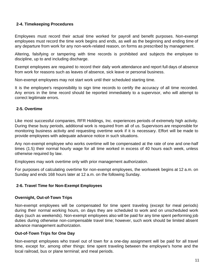# <span id="page-10-0"></span>**2-4. Timekeeping Procedures**

Employees must record their actual time worked for payroll and benefit purposes. Non-exempt employees must record the time work begins and ends, as well as the beginning and ending time of any departure from work for any non-work-related reason, on forms as prescribed by management.

Altering, falsifying or tampering with time records is prohibited and subjects the employee to discipline, up to and including discharge.

Exempt employees are required to record their daily work attendance and report full days of absence from work for reasons such as leaves of absence, sick leave or personal business.

Non-exempt employees may not start work until their scheduled starting time.

It is the employee's responsibility to sign time records to certify the accuracy of all time recorded. Any errors in the time record should be reported immediately to a supervisor, who will attempt to correct legitimate errors.

# **2-5. Overtime**

Like most successful companies, RFR Holdings, Inc. experiences periods of extremely high activity. During these busy periods, additional work is required from all of us. Supervisors are responsible for monitoring business activity and requesting overtime work if it is necessary. Effort will be made to provide employees with adequate advance notice in such situations.

Any non-exempt employee who works overtime will be compensated at the rate of one and one-half times (1.5) their normal hourly wage for all time worked in excess of 40 hours each week, unless otherwise required by law.

Employees may work overtime only with prior management authorization.

For purposes of calculating overtime for non-exempt employees, the workweek begins at 12 a.m. on Sunday and ends 168 hours later at 12 a.m. on the following Sunday.

# **2-6. Travel Time for Non-Exempt Employees**

# **Overnight, Out-of-Town Trips**

Non-exempt employees will be compensated for time spent traveling (except for meal periods) during their normal working hours, on days they are scheduled to work and on unscheduled work days (such as weekends). Non-exempt employees also will be paid for any time spent performing job duties during otherwise non-compensable travel time; however, such work should be limited absent advance management authorization.

# **Out-of-Town Trips for One Day**

Non-exempt employees who travel out of town for a one-day assignment will be paid for all travel time, except for, among other things: time spent traveling between the employee's home and the local railroad, bus or plane terminal; and meal periods.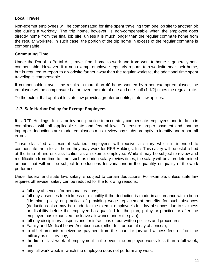# <span id="page-11-0"></span>**Local Travel**

Non-exempt employees will be compensated for time spent traveling from one job site to another job site during a workday. The trip home, however, is non-compensable when the employee goes directly home from the final job site, unless it is much longer than the regular commute home from the regular worksite. In such case, the portion of the trip home in excess of the regular commute is compensable.

# **Commuting Time**

Under the Portal to Portal Act, travel from home to work and from work to home is generally noncompensable. However, if a non-exempt employee regularly reports to a worksite near their home, but is required to report to a worksite farther away than the regular worksite, the additional time spent traveling is compensable.

If compensable travel time results in more than 40 hours worked by a non-exempt employee, the employee will be compensated at an overtime rate of one and one-half (1-1/2) times the regular rate.

To the extent that applicable state law provides greater benefits, state law applies.

# **2-7. Safe Harbor Policy for Exempt Employees**

It is RFR Holdings, Inc.'s policy and practice to accurately compensate employees and to do so in compliance with all applicable state and federal laws. To ensure proper payment and that no improper deductions are made, employees must review pay stubs promptly to identify and report all errors.

Those classified as exempt salaried employees will receive a salary which is intended to compensate them for all hours they may work for RFR Holdings, Inc. This salary will be established at the time of hire or classification as an exempt employee. While it may be subject to review and modification from time to time, such as during salary review times, the salary will be a predetermined amount that will not be subject to deductions for variations in the quantity or quality of the work performed.

Under federal and state law, salary is subject to certain deductions. For example, unless state law requires otherwise, salary can be reduced for the following reasons:

- full-day absences for personal reasons;
- full-day absences for sickness or disability if the deduction is made in accordance with a bona fide plan, policy or practice of providing wage replacement benefits for such absences (deductions also may be made for the exempt employee's full-day absences due to sickness or disability before the employee has qualified for the plan, policy or practice or after the employee has exhausted the leave allowance under the plan);
- full-day disciplinary suspensions for infractions of our written policies and procedures;
- Family and Medical Leave Act absences (either full- or partial-day absences);
- to offset amounts received as payment from the court for jury and witness fees or from the military as military pay;
- the first or last week of employment in the event the employee works less than a full week; and
- any full work week in which the employee does not perform any work.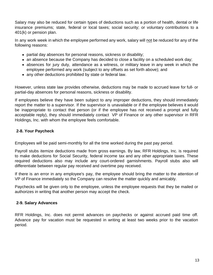<span id="page-12-0"></span>Salary may also be reduced for certain types of deductions such as a portion of health, dental or life insurance premiums; state, federal or local taxes; social security; or voluntary contributions to a 401(k) or pension plan.

In any work week in which the employee performed any work, salary will not be reduced for any of the following reasons:

- partial day absences for personal reasons, sickness or disability;
- an absence because the Company has decided to close a facility on a scheduled work day;
- absences for jury duty, attendance as a witness, or military leave in any week in which the employee performed any work (subject to any offsets as set forth above); and
- any other deductions prohibited by state or federal law.

However, unless state law provides otherwise, deductions may be made to accrued leave for full- or partial-day absences for personal reasons, sickness or disability.

If employees believe they have been subject to any improper deductions, they should immediately report the matter to a supervisor. If the supervisor is unavailable or if the employee believes it would be inappropriate to contact that person (or if the employee has not received a prompt and fully acceptable reply), they should immediately contact VP of Finance or any other supervisor in RFR Holdings, Inc. with whom the employee feels comfortable.

# **2-8. Your Paycheck**

Employees will be paid semi-monthly for all the time worked during the past pay period.

Payroll stubs itemize deductions made from gross earnings. By law, RFR Holdings, Inc. is required to make deductions for Social Security, federal income tax and any other appropriate taxes. These required deductions also may include any court-ordered garnishments. Payroll stubs also will differentiate between regular pay received and overtime pay received.

If there is an error in any employee's pay, the employee should bring the matter to the attention of VP of Finance immediately so the Company can resolve the matter quickly and amicably.

Paychecks will be given only to the employee, unless the employee requests that they be mailed or authorizes in writing that another person may accept the check.

# **2-9. Salary Advances**

RFR Holdings, Inc. does not permit advances on paychecks or against accrued paid time off. Advance pay for vacation must be requested in writing at least two weeks prior to the vacation period.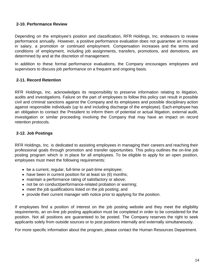#### <span id="page-13-0"></span>**2-10. Performance Review**

Depending on the employee's position and classification, RFR Holdings, Inc. endeavors to review performance annually. However, a positive performance evaluation does not guarantee an increase in salary, a promotion or continued employment. Compensation increases and the terms and conditions of employment, including job assignments, transfers, promotions, and demotions, are determined by and at the discretion of management.

In addition to these formal performance evaluations, the Company encourages employees and supervisors to discuss job performance on a frequent and ongoing basis.

# **2-11. Record Retention**

RFR Holdings, Inc. acknowledges its responsibility to preserve information relating to litigation, audits and investigations. Failure on the part of employees to follow this policy can result in possible civil and criminal sanctions against the Company and its employees and possible disciplinary action against responsible individuals (up to and including discharge of the employee). Each employee has an obligation to contact the President to inform them of potential or actual litigation, external audit, investigation or similar proceeding involving the Company that may have an impact on record retention protocols.

#### **2-12. Job Postings**

RFR Holdings, Inc. is dedicated to assisting employees in managing their careers and reaching their professional goals through promotion and transfer opportunities. This policy outlines the on-line job posting program which is in place for all employees. To be eligible to apply for an open position, employees must meet the following requirements:

- be a current, regular, full-time or part-time employee;
- have been in current position for at least six (6) months;
- maintain a performance rating of satisfactory or above;
- not be on conduct/performance-related probation or warning;
- meet the job qualifications listed on the job posting; and
- provide their current manager with notice prior to applying for the position.

If employees find a position of interest on the job posting website and they meet the eligibility requirements, an on-line job posting application must be completed in order to be considered for the position. Not all positions are guaranteed to be posted. The Company reserves the right to seek applicants solely from outside sources or to post positions internally and externally simultaneously.

For more specific information about the program, please contact the Human Resources Department.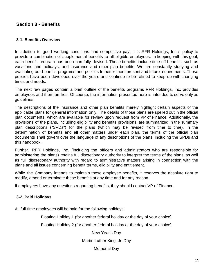# <span id="page-14-0"></span>**Section 3 - Benefits**

#### **3-1. Benefits Overview**

In addition to good working conditions and competitive pay, it is RFR Holdings, Inc.'s policy to provide a combination of supplemental benefits to all eligible employees. In keeping with this goal, each benefit program has been carefully devised. These benefits include time-off benefits, such as vacations and holidays, and insurance and other plan benefits. We are constantly studying and evaluating our benefits programs and policies to better meet present and future requirements. These policies have been developed over the years and continue to be refined to keep up with changing times and needs.

The next few pages contain a brief outline of the benefits programs RFR Holdings, Inc. provides employees and their families. Of course, the information presented here is intended to serve only as guidelines.

The descriptions of the insurance and other plan benefits merely highlight certain aspects of the applicable plans for general information only. The details of those plans are spelled out in the official plan documents, which are available for review upon request from VP of Finance. Additionally, the provisions of the plans, including eligibility and benefits provisions, are summarized in the summary plan descriptions ("SPDs") for the plans (which may be revised from time to time). In the determination of benefits and all other matters under each plan, the terms of the official plan documents shall govern over the language of any descriptions of the plans, including the SPDs and this handbook.

Further, RFR Holdings, Inc. (including the officers and administrators who are responsible for administering the plans) retains full discretionary authority to interpret the terms of the plans, as well as full discretionary authority with regard to administrative matters arising in connection with the plans and all issues concerning benefit terms, eligibility and entitlement.

While the Company intends to maintain these employee benefits, it reserves the absolute right to modify, amend or terminate these benefits at any time and for any reason.

If employees have any questions regarding benefits, they should contact VP of Finance.

#### **3-2. Paid Holidays**

All full-time employees will be paid for the following holidays:

Floating Holiday 1 (for another federal holiday or the day of your choice)

Floating Holiday 2 (for another federal holiday or the day of your choice)

New Year's Day

Martin Luther King, Jr. Day

Memorial Day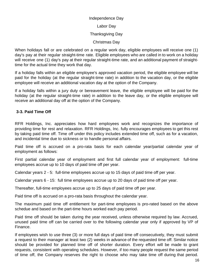#### Independence Day

Labor Day

#### Thanksgiving Day

Christmas Day

<span id="page-15-0"></span>When holidays fall or are celebrated on a regular work day, eligible employees will receive one (1) day's pay at their regular straight-time rate. Eligible employees who are called in to work on a holiday will receive one (1) day's pay at their regular straight-time rate, and an additional payment of straighttime for the actual time they work that day.

If a holiday falls within an eligible employee's approved vacation period, the eligible employee will be paid for the holiday (at the regular straight-time rate) in addition to the vacation day, or the eligible employee will receive an additional vacation day at the option of the Company.

If a holiday falls within a jury duty or bereavement leave, the eligible employee will be paid for the holiday (at the regular straight-time rate) in addition to the leave day, or the eligible employee will receive an additional day off at the option of the Company.

# **3-3. Paid Time Off**

RFR Holdings, Inc. appreciates how hard employees work and recognizes the importance of providing time for rest and relaxation. RFR Holdings, Inc. fully encourages employees to get this rest by taking paid time off. Time off under this policy includes extended time off, such as for a vacation, and incidental time due to sickness or to handle personal affairs.

Paid time off is accrued on a pro-rata basis for each calendar year/partial calendar year of employment as follows:

First partial calendar year of employment and first full calendar year of employment: full-time employees accrue up to 10 days of paid time off per year.

Calendar years 2 - 5: full-time employees accrue up to 15 days of paid time off per year.

Calendar years 6 - 15: full time employees accrue up to 20 days of paid time off per year.

Thereafter, full-time employees accrue up to 25 days of paid time off per year.

Paid time off is accrued on a pro-rata basis throughout the calendar year.

The maximum paid time off entitlement for part-time employees is pro-rated based on the above schedue and based on the part-time hours worked each pay period.

Paid time off should be taken during the year received, unless otherwise required by law. Accrued, unused paid time off can be carried over to the following calendar year only if approved by VP of Finance.

If employees wish to use three (3) or more full days of paid time off consecutively, they must submit a request to their manager at least two (2) weeks in advance of the requested time off. Similar notice should be provided for planned time off of shorter duration. Every effort will be made to grant requests, consistent with operating schedules. However, if too many people request the same period of time off, the Company reserves the right to choose who may take time off during that period.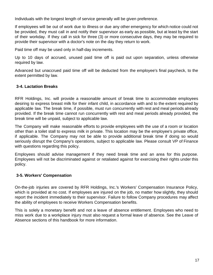<span id="page-16-0"></span>Individuals with the longest length of service generally will be given preference.

If employees will be out of work due to illness or due any other emergency for which notice could not be provided, they must call in and notify their supervisor as early as possible, but at least by the start of their workday. If they call in sick for three (3) or more consecutive days, they may be required to provide their supervisor with a doctor's note on the day they return to work.

Paid time off may be used only in half-day increments.

Up to 10 days of accrued, unused paid time off is paid out upon separation, unless otherwise required by law.

Advanced but unaccrued paid time off will be deducted from the employee's final paycheck, to the extent permitted by law.

# **3-4. Lactation Breaks**

RFR Holdings, Inc. will provide a reasonable amount of break time to accommodate employees desiring to express breast milk for their infant child, in accordance with and to the extent required by applicable law. The break time, if possible, must run concurrently with rest and meal periods already provided. If the break time cannot run concurrently with rest and meal periods already provided, the break time will be unpaid, subject to applicable law.

The Company will make reasonable efforts to provide employees with the use of a room or location other than a toilet stall to express milk in private. This location may be the employee's private office, if applicable. The Company may not be able to provide additional break time if doing so would seriously disrupt the Company's operations, subject to applicable law. Please consult VP of Finance with questions regarding this policy.

Employees should advise management if they need break time and an area for this purpose. Employees will not be discriminated against or retaliated against for exercising their rights under this policy.

# **3-5. Workers' Compensation**

On-the-job injuries are covered by RFR Holdings, Inc.'s Workers' Compensation Insurance Policy, which is provided at no cost. If employees are injured on the job, no matter how slightly, they should report the incident immediately to their supervisor. Failure to follow Company procedures may affect the ability of employees to receive Workers Compensation benefits.

This is solely a monetary benefit and not a leave of absence entitlement. Employees who need to miss work due to a workplace injury must also request a formal leave of absence. See the Leave of Absence sections of this handbook for more information.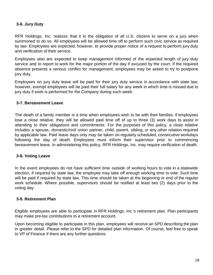#### <span id="page-17-0"></span>**3-6. Jury Duty**

RFR Holdings, Inc. realizes that it is the obligation of all U.S. citizens to serve on a jury when summoned to do so. All employees will be allowed time off to perform such civic service as required by law. Employees are expected, however, to provide proper notice of a request to perform jury duty and verification of their service.

Employees also are expected to keep management informed of the expected length of jury duty service and to report to work for the major portion of the day if excused by the court. If the required absence presents a serious conflict for management, employees may be asked to try to postpone jury duty.

Employees on jury duty leave will be paid for their jury duty service in accordance with state law; however, exempt employees will be paid their full salary for any week in which time is missed due to jury duty if work is performed for the Company during such week.

#### **3-7. Bereavement Leave**

The death of a family member is a time when employees wish to be with their families. If employees lose a close relative, they will be allowed paid time off of up to three (3) work days to assist in attending to their obligations and commitments. For the purposes of this policy, a close relative includes a spouse, domestic/civil union partner, child, parent, sibling, or any other relation required by applicable law. Paid leave days only may be taken on regularly scheduled, consecutive workdays following the day of death. Employees must inform their supervisor prior to commencing bereavement leave. In administering this policy, RFR Holdings, Inc. may require verification of death.

#### **3-8. Voting Leave**

In the event employees do not have sufficient time outside of working hours to vote in a statewide election, if required by state law, the employee may take off enough working time to vote. Such time will be paid if required by state law. This time should be taken at the beginning or end of the regular work schedule. Where possible, supervisors should be notified at least two (2) days prior to the voting day.

#### **3-9. Retirement Plan**

Eligible employees are able to participate in RFR Holdings, Inc.'s retirement plan. Plan participants may make pre-tax contributions to a retirement account.

Upon becoming eligible to participate in this plan, employees will receive an SPD describing the plan in greater detail. Please refer to the SPD for detailed plan information. Of course, feel free to speak to VP of Finance if there are any further questions.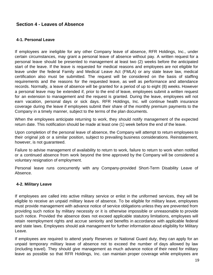# <span id="page-18-0"></span>**Section 4 - Leaves of Absence**

#### **4-1. Personal Leave**

If employees are ineligible for any other Company leave of absence, RFR Holdings, Inc., under certain circumstances, may grant a personal leave of absence without pay. A written request for a personal leave should be presented to management at least two (2) weeks before the anticipated start of the leave. If the leave is requested for medical reasons and employees are not eligible for leave under the federal Family and Medical Leave Act (FMLA) or any state leave law, medical certification also must be submitted. The request will be considered on the basis of staffing requirements and the reasons for the requested leave, as well as performance and attendance records. Normally, a leave of absence will be granted for a period of up to eight (8) weeks. However a personal leave may be extended if, prior to the end of leave, employees submit a written request for an extension to management and the request is granted. During the leave, employees will not earn vacation, personal days or sick days. RFR Holdings, Inc. will continue health insurance coverage during the leave if employees submit their share of the monthly premium payments to the Company in a timely manner, subject to the terms of the plan documents.

When the employees anticipate returning to work, they should notify management of the expected return date. This notification should be made at least one (1) week before the end of the leave.

Upon completion of the personal leave of absence, the Company will attempt to return employees to their original job or a similar position, subject to prevailing business considerations. Reinstatement, however, is not guaranteed.

Failure to advise management of availability to return to work, failure to return to work when notified or a continued absence from work beyond the time approved by the Company will be considered a voluntary resignation of employment.

Personal leave runs concurrently with any Company-provided Short-Term Disability Leave of Absence.

#### **4-2. Military Leave**

If employees are called into active military service or enlist in the uniformed services, they will be eligible to receive an unpaid military leave of absence. To be eligible for military leave, employees must provide management with advance notice of service obligations unless they are prevented from providing such notice by military necessity or it is otherwise impossible or unreasonable to provide such notice. Provided the absence does not exceed applicable statutory limitations, employees will retain reemployment rights and accrue seniority and benefits in accordance with applicable federal and state laws. Employees should ask management for further information about eligibility for Military Leave.

If employees are required to attend yearly Reserves or National Guard duty, they can apply for an unpaid temporary military leave of absence not to exceed the number of days allowed by law (including travel). They should give management as much advance notice of their need for military leave as possible so that RFR Holdings, Inc. can maintain proper coverage while employees are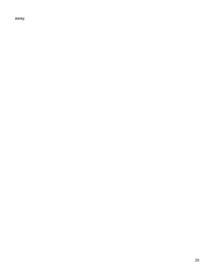away.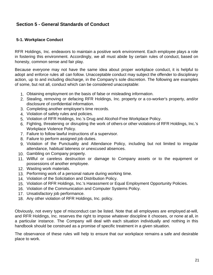# <span id="page-20-0"></span>**Section 5 - General Standards of Conduct**

#### **5-1. Workplace Conduct**

RFR Holdings, Inc. endeavors to maintain a positive work environment. Each employee plays a role in fostering this environment. Accordingly, we all must abide by certain rules of conduct, based on honesty, common sense and fair play.

Because everyone may not have the same idea about proper workplace conduct, it is helpful to adopt and enforce rules all can follow. Unacceptable conduct may subject the offender to disciplinary action, up to and including discharge, in the Company's sole discretion. The following are examples of some, but not all, conduct which can be considered unacceptable:

- 1. Obtaining employment on the basis of false or misleading information.
- 2. Stealing, removing or defacing RFR Holdings, Inc. property or a co-worker's property, and/or disclosure of confidential information.
- 3. Completing another employee's time records.
- 4. Violation of safety rules and policies.
- 5. Violation of RFR Holdings, Inc.'s Drug and Alcohol-Free Workplace Policy.
- 6. Fighting, threatening or disrupting the work of others or other violations of RFR Holdings, Inc.'s Workplace Violence Policy.
- 7. Failure to follow lawful instructions of a supervisor.
- 8. Failure to perform assigned job duties.
- 9. Violation of the Punctuality and Attendance Policy, including but not limited to irregular attendance, habitual lateness or unexcused absences.
- 10. Gambling on Company property.
- 11. Willful or careless destruction or damage to Company assets or to the equipment or possessions of another employee.
- 12. Wasting work materials.
- 13. Performing work of a personal nature during working time.
- 14. Violation of the Solicitation and Distribution Policy.
- 15. Violation of RFR Holdings, Inc.'s Harassment or Equal Employment Opportunity Policies.
- 16. Violation of the Communication and Computer Systems Policy.
- 17. Unsatisfactory job performance.
- 18. Any other violation of RFR Holdings, Inc. policy.

Obviously, not every type of misconduct can be listed. Note that all employees are employed at-will, and RFR Holdings, Inc. reserves the right to impose whatever discipline it chooses, or none at all, in a particular instance. The Company will deal with each situation individually and nothing in this handbook should be construed as a promise of specific treatment in a given situation.

The observance of these rules will help to ensure that our workplace remains a safe and desirable place to work.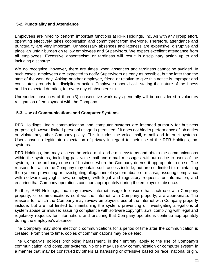#### <span id="page-21-0"></span>**5-2. Punctuality and Attendance**

Employees are hired to perform important functions at RFR Holdings, Inc. As with any group effort, operating effectively takes cooperation and commitment from everyone. Therefore, attendance and punctuality are very important. Unnecessary absences and lateness are expensive, disruptive and place an unfair burden on fellow employees and Supervisors. We expect excellent attendance from all employees. Excessive absenteeism or tardiness will result in disciplinary action up to and including discharge.

We do recognize, however, there are times when absences and tardiness cannot be avoided. In such cases, employees are expected to notify Supervisors as early as possible, but no later than the start of the work day. Asking another employee, friend or relative to give this notice is improper and constitutes grounds for disciplinary action. Employees should call, stating the nature of the illness and its expected duration, for every day of absenteeism.

Unreported absences of three (3) consecutive work days generally will be considered a voluntary resignation of employment with the Company.

#### **5-3. Use of Communications and Computer Systems**

RFR Holdings, Inc.'s communication and computer systems are intended primarily for business purposes; however limited personal usage is permitted if it does not hinder performance of job duties or violate any other Company policy. This includes the voice mail, e-mail and Internet systems. Users have no legitimate expectation of privacy in regard to their use of the RFR Holdings, Inc. systems.

RFR Holdings, Inc. may access the voice mail and e-mail systems and obtain the communications within the systems, including past voice mail and e-mail messages, without notice to users of the system, in the ordinary course of business when the Company deems it appropriate to do so. The reasons for which the Company may obtain such access include, but are not limited to: maintaining the system; preventing or investigating allegations of system abuse or misuse; assuring compliance with software copyright laws; complying with legal and regulatory requests for information; and ensuring that Company operations continue appropriately during the employee's absence.

Further, RFR Holdings, Inc. may review Internet usage to ensure that such use with Company property, or communications sent via the Internet with Company property, are appropriate. The reasons for which the Company may review employees' use of the Internet with Company property include, but are not limited to: maintaining the system; preventing or investigating allegations of system abuse or misuse; assuring compliance with software copyright laws; complying with legal and regulatory requests for information; and ensuring that Company operations continue appropriately during the employee's absence.

The Company may store electronic communications for a period of time after the communication is created. From time to time, copies of communications may be deleted.

The Company's policies prohibiting harassment, in their entirety, apply to the use of Company's communication and computer systems. No one may use any communication or computer system in a manner that may be construed by others as harassing or offensive based on race, national origin,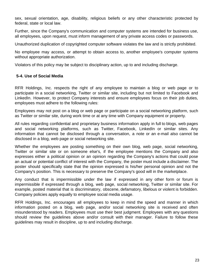<span id="page-22-0"></span>sex, sexual orientation, age, disability, religious beliefs or any other characteristic protected by federal, state or local law.

Further, since the Company's communication and computer systems are intended for business use, all employees, upon request, must inform management of any private access codes or passwords.

Unauthorized duplication of copyrighted computer software violates the law and is strictly prohibited.

No employee may access, or attempt to obtain access to, another employee's computer systems without appropriate authorization.

Violators of this policy may be subject to disciplinary action, up to and including discharge.

#### **5-4. Use of Social Media**

RFR Holdings, Inc. respects the right of any employee to maintain a blog or web page or to participate in a social networking, Twitter or similar site, including but not limited to Facebook and LinkedIn. However, to protect Company interests and ensure employees focus on their job duties, employees must adhere to the following rules:

Employees may not post on a blog or web page or participate on a social networking platform, such as Twitter or similar site, during work time or at any time with Company equipment or property.

All rules regarding confidential and proprietary business information apply in full to blogs, web pages and social networking platforms, such as Twitter, Facebook, LinkedIn or similar sites. Any information that cannot be disclosed through a conversation, a note or an e-mail also cannot be disclosed in a blog, web page or social networking site.

Whether the employees are posting something on their own blog, web page, social networking, Twitter or similar site or on someone else's, if the employee mentions the Company and also expresses either a political opinion or an opinion regarding the Company's actions that could pose an actual or potential conflict of interest with the Company, the poster must include a disclaimer. The poster should specifically state that the opinion expressed is his/her personal opinion and not the Company's position. This is necessary to preserve the Company's good will in the marketplace.

Any conduct that is impermissible under the law if expressed in any other form or forum is impermissible if expressed through a blog, web page, social networking, Twitter or similar site. For example, posted material that is discriminatory, obscene, defamatory, libelous or violent is forbidden. Company policies apply equally to employee social media usage.

RFR Holdings, Inc. encourages all employees to keep in mind the speed and manner in which information posted on a blog, web page, and/or social networking site is received and often misunderstood by readers. Employees must use their best judgment. Employees with any questions should review the guidelines above and/or consult with their manager. Failure to follow these guidelines may result in discipline, up to and including discharge.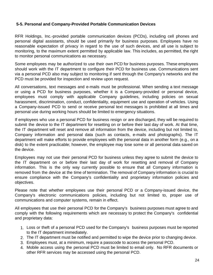# <span id="page-23-0"></span>**5-5. Personal and Company-Provided Portable Communication Devices**

RFR Holdings, Inc.-provided portable communication devices (PCDs), including cell phones and personal digital assistants, should be used primarily for business purposes. Employees have no reasonable expectation of privacy in regard to the use of such devices, and all use is subject to monitoring, to the maximum extent permitted by applicable law. This includes, as permitted, the right to monitor personal communications as necessary.

Some employees may be authorized to use their own PCD for business purposes. These employees should work with the IT department to configure their PCD for business use. Communications sent via a personal PCD also may subject to monitoring if sent through the Company's networks and the PCD must be provided for inspection and review upon request.

All conversations, text messages and e-mails must be professional. When sending a text message or using a PCD for business purposes, whether it is a Company-provided or personal device, employees must comply with applicable Company guidelines, including policies on sexual harassment, discrimination, conduct, confidentiality, equipment use and operation of vehicles. Using a Company-issued PCD to send or receive personal text messages is prohibited at all times and personal use during working hours should be limited to emergency situations.

If employees who use a personal PCD for business resign or are discharged, they will be required to submit the device to the IT department for resetting on or before their last day of work. At that time, the IT department will reset and remove all information from the device, including but not limited to, Company information and personal data (such as contacts, e-mails and photographs). The IT department will make efforts to provide employees with the personal data in another form (e.g., on a disk) to the extent practicable; however, the employee may lose some or all personal data saved on the device.

Employees may not use their personal PCD for business unless they agree to submit the device to the IT department on or before their last day of work for resetting and removal of Company information. This is the only way currently possible to ensure that all Company information is removed from the device at the time of termination. The removal of Company information is crucial to ensure compliance with the Company's confidentiality and proprietary information policies and objectives.

Please note that whether employees use their personal PCD or a Company-issued device, the Company's electronic communications policies, including but not limited to, proper use of communications and computer systems, remain in effect.

All employees that use their personal PCD for the Company's business purposes must agree to and comply with the following requirements which are necessary to protect the Company's confidential and proprietary data:

- 1. Loss or theft of a personal PCD used for the Company's business purposes must be reported to the IT department immediately.
- 2. The IT department must be notified and permitted to wipe the device prior to changing device.
- 3. Employees must, at a minimum, require a passcode to access the personal PCD.
- 4. Mobile access using the personal PCD must be limited to email only. No RFR documents or other RFR services may be accessed using the personal PCD.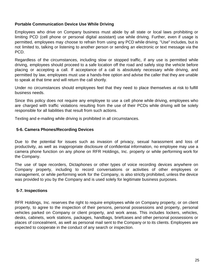#### <span id="page-24-0"></span>**Portable Communication Device Use While Driving**

Employees who drive on Company business must abide by all state or local laws prohibiting or limiting PCD (cell phone or personal digital assistant) use while driving. Further, even if usage is permitted, employees may choose to refrain from using any PCD while driving. "Use" includes, but is not limited to, talking or listening to another person or sending an electronic or text message via the PCD.

Regardless of the circumstances, including slow or stopped traffic, if any use is permitted while driving, employees should proceed to a safe location off the road and safely stop the vehicle before placing or accepting a call. If acceptance of a call is absolutely necessary while driving, and permitted by law, employees must use a hands-free option and advise the caller that they are unable to speak at that time and will return the call shortly.

Under no circumstances should employees feel that they need to place themselves at risk to fulfill business needs.

Since this policy does not require any employee to use a cell phone while driving, employees who are charged with traffic violations resulting from the use of their PCDs while driving will be solely responsible for all liabilities that result from such actions.

Texting and e-mailing while driving is prohibited in all circumstances.

#### **5-6. Camera Phones/Recording Devices**

Due to the potential for issues such as invasion of privacy, sexual harassment and loss of productivity, as well as inappropriate disclosure of confidential information, no employee may use a camera phone function on any phone on RFR Holdings, Inc. property or while performing work for the Company.

The use of tape recorders, Dictaphones or other types of voice recording devices anywhere on Company property, including to record conversations or activities of other employees or management, or while performing work for the Company, is also strictly prohibited, unless the device was provided to you by the Company and is used solely for legitimate business purposes.

# **5-7. Inspections**

RFR Holdings, Inc. reserves the right to require employees while on Company property, or on client property, to agree to the inspection of their persons, personal possessions and property, personal vehicles parked on Company or client property, and work areas. This includes lockers, vehicles, desks, cabinets, work stations, packages, handbags, briefcases and other personal possessions or places of concealment, as well as personal mail sent to the Company or to its clients. Employees are expected to cooperate in the conduct of any search or inspection.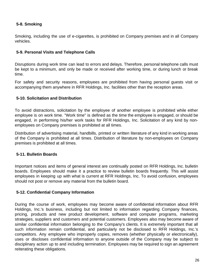# <span id="page-25-0"></span>**5-8. Smoking**

Smoking, including the use of e-cigarettes, is prohibited on Company premises and in all Company vehicles.

# **5-9. Personal Visits and Telephone Calls**

Disruptions during work time can lead to errors and delays. Therefore, personal telephone calls must be kept to a minimum, and only be made or received after working time, or during lunch or break time.

For safety and security reasons, employees are prohibited from having personal guests visit or accompanying them anywhere in RFR Holdings, Inc. facilities other than the reception areas.

# **5-10. Solicitation and Distribution**

To avoid distractions, solicitation by the employee of another employee is prohibited while either employee is on work time. "Work time" is defined as the time the employee is engaged, or should be engaged, in performing his/her work tasks for RFR Holdings, Inc. Solicitation of any kind by nonemployees on Company premises is prohibited at all times.

Distribution of advertising material, handbills, printed or written literature of any kind in working areas of the Company is prohibited at all times. Distribution of literature by non-employees on Company premises is prohibited at all times.

# **5-11. Bulletin Boards**

Important notices and items of general interest are continually posted on RFR Holdings, Inc. bulletin boards. Employees should make it a practice to review bulletin boards frequently. This will assist employees in keeping up with what is current at RFR Holdings, Inc. To avoid confusion, employees should not post or remove any material from the bulletin board.

#### **5-12. Confidential Company Information**

During the course of work, employees may become aware of confidential information about RFR Holdings, Inc.'s business, including but not limited to information regarding Company finances, pricing, products and new product development, software and computer programs, marketing strategies, suppliers and customers and potential customers. Employees also may become aware of similar confidential information belonging to the Company's clients. It is extremely important that all such information remain confidential, and particularly not be disclosed to RFR Holdings, Inc.'s competitors. Any employee who improperly copies, removes (whether physically or electronically), uses or discloses confidential information to anyone outside of the Company may be subject to disciplinary action up to and including termination. Employees may be required to sign an agreement reiterating these obligations.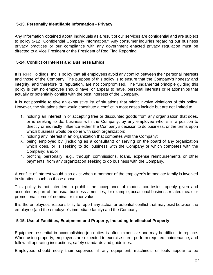# <span id="page-26-0"></span>**5-13. Personally Identifiable Information - Privacy**

Any information obtained about individuals as a result of our services are confidential and are subject to policy 5-12 "Confidential Company Information." Any consumer inquiries regarding our business privacy practices or our compliance with any government enacted privacy regulation must be directed to a Vice President or the President of Red Flag Reporting.

#### **5-14. Conflict of Interest and Business Ethics**

It is RFR Holdings, Inc.'s policy that all employees avoid any conflict between their personal interests and those of the Company. The purpose of this policy is to ensure that the Company's honesty and integrity, and therefore its reputation, are not compromised. The fundamental principle guiding this policy is that no employee should have, or appear to have, personal interests or relationships that actually or potentially conflict with the best interests of the Company.

It is not possible to give an exhaustive list of situations that might involve violations of this policy. However, the situations that would constitute a conflict in most cases include but are not limited to:

- 1. holding an interest in or accepting free or discounted goods from any organization that does, or is seeking to do, business with the Company, by any employee who is in a position to directly or indirectly influence either the Company's decision to do business, or the terms upon which business would be done with such organization;
- 2. holding any interest in an organization that competes with the Company;
- 3. being employed by (including as a consultant) or serving on the board of any organization which does, or is seeking to do, business with the Company or which competes with the Company; and/or
- 4. profiting personally, e.g., through commissions, loans, expense reimbursements or other payments, from any organization seeking to do business with the Company.

A conflict of interest would also exist when a member of the employee's immediate family is involved in situations such as those above.

This policy is not intended to prohibit the acceptance of modest courtesies, openly given and accepted as part of the usual business amenities, for example, occasional business-related meals or promotional items of nominal or minor value.

It is the employee's responsibility to report any actual or potential conflict that may exist between the employee (and the employee's immediate family) and the Company.

#### **5-15. Use of Facilities, Equipment and Property, Including Intellectual Property**

Equipment essential in accomplishing job duties is often expensive and may be difficult to replace. When using property, employees are expected to exercise care, perform required maintenance, and follow all operating instructions, safety standards and guidelines.

Employees should notify their supervisor if any equipment, machines, or tools appear to be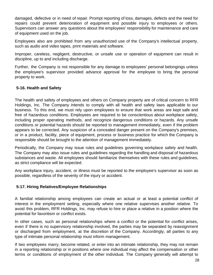<span id="page-27-0"></span>damaged, defective or in need of repair. Prompt reporting of loss, damages, defects and the need for repairs could prevent deterioration of equipment and possible injury to employees or others. Supervisors can answer any questions about the employees' responsibility for maintenance and care of equipment used on the job.

Employees also are prohibited from any unauthorized use of the Company's intellectual property, such as audio and video tapes, print materials and software.

Improper, careless, negligent, destructive, or unsafe use or operation of equipment can result in discipline, up to and including discharge.

Further, the Company is not responsible for any damage to employees' personal belongings unless the employee's supervisor provided advance approval for the employee to bring the personal property to work.

# **5-16. Health and Safety**

The health and safety of employees and others on Company property are of critical concern to RFR Holdings, Inc. The Company intends to comply with all health and safety laws applicable to our business. To this end, we must rely upon employees to ensure that work areas are kept safe and free of hazardous conditions. Employees are required to be conscientious about workplace safety, including proper operating methods, and recognize dangerous conditions or hazards. Any unsafe conditions or potential hazards should be reported to management immediately, even if the problem appears to be corrected. Any suspicion of a concealed danger present on the Company's premises, or in a product, facility, piece of equipment, process or business practice for which the Company is responsible should be brought to the attention of management immediately.

Periodically, the Company may issue rules and guidelines governing workplace safety and health. The Company may also issue rules and guidelines regarding the handling and disposal of hazardous substances and waste. All employees should familiarize themselves with these rules and guidelines, as strict compliance will be expected.

Any workplace injury, accident, or illness must be reported to the employee's supervisor as soon as possible, regardless of the severity of the injury or accident.

# **5-17. Hiring Relatives/Employee Relationships**

A familial relationship among employees can create an actual or at least a potential conflict of interest in the employment setting, especially where one relative supervises another relative. To avoid this problem, RFR Holdings, Inc. may refuse to hire or place a relative in a position where the potential for favoritism or conflict exists.

In other cases, such as personal relationships where a conflict or the potential for conflict arises, even if there is no supervisory relationship involved, the parties may be separated by reassignment or discharged from employment, at the discretion of the Company. Accordingly, all parties to any type of intimate personal relationship must inform management.

If two employees marry, become related, or enter into an intimate relationship, they may not remain in a reporting relationship or in positions where one individual may affect the compensation or other terms or conditions of employment of the other individual. The Company generally will attempt to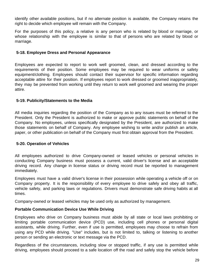<span id="page-28-0"></span>identify other available positions, but if no alternate position is available, the Company retains the right to decide which employee will remain with the Company.

For the purposes of this policy, a relative is any person who is related by blood or marriage, or whose relationship with the employee is similar to that of persons who are related by blood or marriage.

# **5-18. Employee Dress and Personal Appearance**

Employees are expected to report to work well groomed, clean, and dressed according to the requirements of their position. Some employees may be required to wear uniforms or safety equipment/clothing. Employees should contact their supervisor for specific information regarding acceptable attire for their position. If employees report to work dressed or groomed inappropriately, they may be prevented from working until they return to work well groomed and wearing the proper attire.

# **5-19. Publicity/Statements to the Media**

All media inquiries regarding the position of the Company as to any issues must be referred to the President. Only the President is authorized to make or approve public statements on behalf of the Company. No employees, unless specifically designated by the President, are authorized to make those statements on behalf of Company. Any employee wishing to write and/or publish an article, paper, or other publication on behalf of the Company must first obtain approval from the President.

# **5-20. Operation of Vehicles**

All employees authorized to drive Company-owned or leased vehicles or personal vehicles in conducting Company business must possess a current, valid driver's license and an acceptable driving record. Any change in license status or driving record must be reported to management immediately.

Employees must have a valid driver's license in their possession while operating a vehicle off or on Company property. It is the responsibility of every employee to drive safely and obey all traffic, vehicle safety, and parking laws or regulations. Drivers must demonstrate safe driving habits at all times.

Company-owned or leased vehicles may be used only as authorized by management.

# **Portable Communication Device Use While Driving**

Employees who drive on Company business must abide by all state or local laws prohibiting or limiting portable communication device (PCD) use, including cell phones or personal digital assistants, while driving. Further, even if use is permitted, employees may choose to refrain from using any PCD while driving. "Use" includes, but is not limited to, talking or listening to another person or sending an electronic or text message via the PCD.

Regardless of the circumstances, including slow or stopped traffic, if any use is permitted while driving, employees should proceed to a safe location off the road and safely stop the vehicle before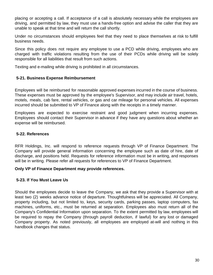<span id="page-29-0"></span>placing or accepting a call. If acceptance of a call is absolutely necessary while the employees are driving, and permitted by law, they must use a hands-free option and advise the caller that they are unable to speak at that time and will return the call shortly.

Under no circumstances should employees feel that they need to place themselves at risk to fulfill business needs.

Since this policy does not require any employee to use a PCD while driving, employees who are charged with traffic violations resulting from the use of their PCDs while driving will be solely responsible for all liabilities that result from such actions.

Texting and e-mailing while driving is prohibited in all circumstances.

# **5-21. Business Expense Reimbursement**

Employees will be reimbursed for reasonable approved expenses incurred in the course of business. These expenses must be approved by the employee's Supervisor, and may include air travel, hotels, motels, meals, cab fare, rental vehicles, or gas and car mileage for personal vehicles. All expenses incurred should be submitted to VP of Finance along with the receipts in a timely manner.

Employees are expected to exercise restraint and good judgment when incurring expenses. Employees should contact their Supervisor in advance if they have any questions about whether an expense will be reimbursed.

# **5-22. References**

RFR Holdings, Inc. will respond to reference requests through VP of Finance Department. The Company will provide general information concerning the employee such as date of hire, date of discharge, and positions held. Requests for reference information must be in writing, and responses will be in writing. Please refer all requests for references to VP of Finance Department.

# **Only VP of Finance Department may provide references.**

# **5-23. If You Must Leave Us**

Should the employees decide to leave the Company, we ask that they provide a Supervisor with at least two (2) weeks advance notice of departure. Thoughtfulness will be appreciated. All Company, property including, but not limited to, keys, security cards, parking passes, laptop computers, fax machines, uniforms, etc., must be returned at separation. Employees also must return all of the Company's Confidential Information upon separation. To the extent permitted by law, employees will be required to repay the Company (through payroll deduction, if lawful) for any lost or damaged Company property. As noted previously, all employees are employed at-will and nothing in this handbook changes that status.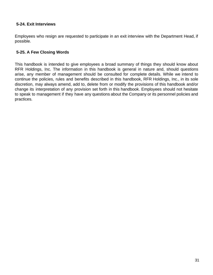# <span id="page-30-0"></span>**5-24. Exit Interviews**

Employees who resign are requested to participate in an exit interview with the Department Head, if possible.

# **5-25. A Few Closing Words**

This handbook is intended to give employees a broad summary of things they should know about RFR Holdings, Inc. The information in this handbook is general in nature and, should questions arise, any member of management should be consulted for complete details. While we intend to continue the policies, rules and benefits described in this handbook, RFR Holdings, Inc., in its sole discretion, may always amend, add to, delete from or modify the provisions of this handbook and/or change its interpretation of any provision set forth in this handbook. Employees should not hesitate to speak to management if they have any questions about the Company or its personnel policies and practices.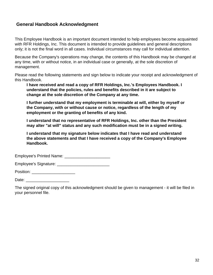# <span id="page-31-0"></span>**General Handbook Acknowledgment**

This Employee Handbook is an important document intended to help employees become acquainted with RFR Holdings, Inc. This document is intended to provide guidelines and general descriptions only; it is not the final word in all cases. Individual circumstances may call for individual attention.

Because the Company's operations may change, the contents of this Handbook may be changed at any time, with or without notice, in an individual case or generally, at the sole discretion of management.

Please read the following statements and sign below to indicate your receipt and acknowledgment of this Handbook.

**I have received and read a copy of RFR Holdings, Inc.'s Employees Handbook. I understand that the policies, rules and benefits described in it are subject to change at the sole discretion of the Company at any time.**

**I further understand that my employment is terminable at will, either by myself or the Company, with or without cause or notice, regardless of the length of my employment or the granting of benefits of any kind.**

**I understand that no representative of RFR Holdings, Inc. other than the President may alter "at will" status and any such modification must be in a signed writing.**

**I understand that my signature below indicates that I have read and understand the above statements and that I have received a copy of the Company's Employee Handbook.**

Employee's Printed Name: \_\_\_\_\_\_\_\_\_\_\_\_\_\_\_\_\_\_\_\_

Employee's Signature: \_\_\_\_\_\_\_\_\_\_\_\_\_\_\_\_\_\_\_\_\_\_\_

Position: **with a set of the set of the set of the set of the set of the set of the set of the set of the set of the set of the set of the set of the set of the set of the set of the set of the set of the set of the set of** 

Date: \_\_\_\_\_\_\_\_\_\_\_\_\_\_\_\_\_\_\_

The signed original copy of this acknowledgment should be given to management - it will be filed in your personnel file.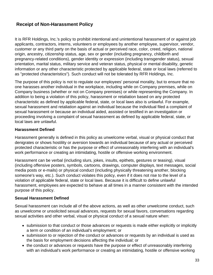# <span id="page-32-0"></span>**Receipt of Non-Harassment Policy**

It is RFR Holdings, Inc.'s policy to prohibit intentional and unintentional harassment of or against job applicants, contractors, interns, volunteers or employees by another employee, supervisor, vendor, customer or any third party on the basis of actual or perceived race, color, creed, religion, national origin, ancestry, citizenship status, age, sex or gender (including pregnancy, childbirth and pregnancy-related conditions), gender identity or expression (including transgender status), sexual orientation, marital status, military service and veteran status, physical or mental disability, genetic information or any other characteristic protected by applicable federal, state or local laws (referred to as "protected characteristics"). Such conduct will not be tolerated by RFR Holdings, Inc.

The purpose of this policy is not to regulate our employees' personal morality, but to ensure that no one harasses another individual in the workplace, including while on Company premises, while on Company business (whether or not on Company premises) or while representing the Company. In addition to being a violation of this policy, harassment or retaliation based on any protected characteristic as defined by applicable federal, state, or local laws also is unlawful. For example, sexual harassment and retaliation against an individual because the individual filed a complaint of sexual harassment or because an individual aided, assisted or testified in an investigation or proceeding involving a complaint of sexual harassment as defined by applicable federal, state, or local laws are unlawful.

#### **Harassment Defined**

Harassment generally is defined in this policy as unwelcome verbal, visual or physical conduct that denigrates or shows hostility or aversion towards an individual because of any actual or perceived protected characteristic or has the purpose or effect of unreasonably interfering with an individual's work performance or creating an intimidating, hostile or offensive working environment.

Harassment can be verbal (including slurs, jokes, insults, epithets, gestures or teasing), visual (including offensive posters, symbols, cartoons, drawings, computer displays, text messages, social media posts or e-mails) or physical conduct (including physically threatening another, blocking someone's way, etc.). Such conduct violates this policy, even if it does not rise to the level of a violation of applicable federal, state or local laws. Because it is difficult to define unlawful harassment, employees are expected to behave at all times in a manner consistent with the intended purpose of this policy.

# **Sexual Harassment Defined**

Sexual harassment can include all of the above actions, as well as other unwelcome conduct, such as unwelcome or unsolicited sexual advances, requests for sexual favors, conversations regarding sexual activities and other verbal, visual or physical conduct of a sexual nature when:

- submission to that conduct or those advances or requests is made either explicitly or implicitly a term or condition of an individual's employment; or
- submission to or rejection of the conduct or advances or requests by an individual is used as the basis for employment decisions affecting the individual; or
- the conduct or advances or requests have the purpose or effect of unreasonably interfering with an individual's work performance or creating an intimidating, hostile or offensive working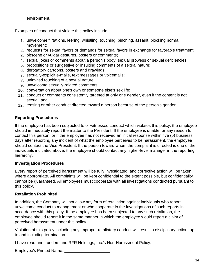environment.

Examples of conduct that violate this policy include:

- 1. unwelcome flirtations, leering, whistling, touching, pinching, assault, blocking normal movement;
- 2. requests for sexual favors or demands for sexual favors in exchange for favorable treatment;
- 3. obscene or vulgar gestures, posters or comments;
- 4. sexual jokes or comments about a person's body, sexual prowess or sexual deficiencies;
- 5. propositions or suggestive or insulting comments of a sexual nature;
- 6. derogatory cartoons, posters and drawings;
- 7. sexually-explicit e-mails, text messages or voicemails;
- 8. uninvited touching of a sexual nature;
- 9. unwelcome sexually-related comments;
- 10. conversation about one's own or someone else's sex life;
- 11. conduct or comments consistently targeted at only one gender, even if the content is not sexual; and
- 12. teasing or other conduct directed toward a person because of the person's gender.

# **Reporting Procedures**

If the employee has been subjected to or witnessed conduct which violates this policy, the employee should immediately report the matter to the President. If the employee is unable for any reason to contact this person, or if the employee has not received an initial response within five (5) business days after reporting any incident of what the employee perceives to be harassment, the employee should contact the Vice President. If the person toward whom the complaint is directed is one of the individuals indicated above, the employee should contact any higher-level manager in the reporting hierarchy.

# **Investigation Procedures**

Every report of perceived harassment will be fully investigated, and corrective action will be taken where appropriate. All complaints will be kept confidential to the extent possible, but confidentiality cannot be guaranteed. All employees must cooperate with all investigations conducted pursuant to this policy.

# **Retaliation Prohibited**

In addition, the Company will not allow any form of retaliation against individuals who report unwelcome conduct to management or who cooperate in the investigations of such reports in accordance with this policy. If the employee has been subjected to any such retaliation, the employee should report it in the same manner in which the employee would report a claim of perceived harassment under this policy.

Violation of this policy including any improper retaliatory conduct will result in disciplinary action, up to and including termination.

I have read and I understand RFR Holdings, Inc.'s Non-Harassment Policy.

Employee's Printed Name: